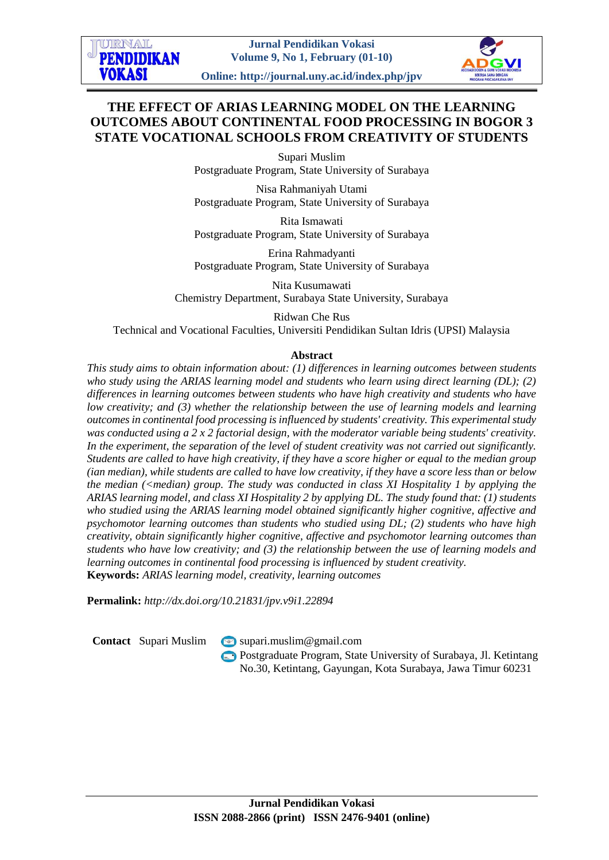

**Online: http://journal.uny.ac.id/index.php/jpv**

# **THE EFFECT OF ARIAS LEARNING MODEL ON THE LEARNING OUTCOMES ABOUT CONTINENTAL FOOD PROCESSING IN BOGOR 3 STATE VOCATIONAL SCHOOLS FROM CREATIVITY OF STUDENTS**

Supari Muslim Postgraduate Program, State University of Surabaya

Nisa Rahmaniyah Utami Postgraduate Program, State University of Surabaya

Rita Ismawati Postgraduate Program, State University of Surabaya

Erina Rahmadyanti Postgraduate Program, State University of Surabaya

Nita Kusumawati Chemistry Department, Surabaya State University, Surabaya

Ridwan Che Rus Technical and Vocational Faculties, Universiti Pendidikan Sultan Idris (UPSI) Malaysia

## **Abstract**

*This study aims to obtain information about: (1) differences in learning outcomes between students who study using the ARIAS learning model and students who learn using direct learning (DL); (2) differences in learning outcomes between students who have high creativity and students who have low creativity; and (3) whether the relationship between the use of learning models and learning outcomes in continental food processing is influenced by students' creativity. This experimental study was conducted using a 2 x 2 factorial design, with the moderator variable being students' creativity. In the experiment, the separation of the level of student creativity was not carried out significantly. Students are called to have high creativity, if they have a score higher or equal to the median group (ian median), while students are called to have low creativity, if they have a score less than or below the median (<median) group. The study was conducted in class XI Hospitality 1 by applying the ARIAS learning model, and class XI Hospitality 2 by applying DL. The study found that: (1) students who studied using the ARIAS learning model obtained significantly higher cognitive, affective and psychomotor learning outcomes than students who studied using DL; (2) students who have high creativity, obtain significantly higher cognitive, affective and psychomotor learning outcomes than students who have low creativity; and (3) the relationship between the use of learning models and learning outcomes in continental food processing is influenced by student creativity.* **Keywords:** *ARIAS learning model, creativity, learning outcomes*

**Permalink:** *http://dx.doi.org/10.21831/jpv.v9i1.22894*

**IDRNAL PENDIDIKAN** 

**VOKASI** 

**Contact** Supari Muslim [supari.muslim@gmail.com](mailto:supari.muslim@gmail.com)

Postgraduate Program, State University of Surabaya, Jl. Ketintang No.30, Ketintang, Gayungan, Kota Surabaya, Jawa Timur 60231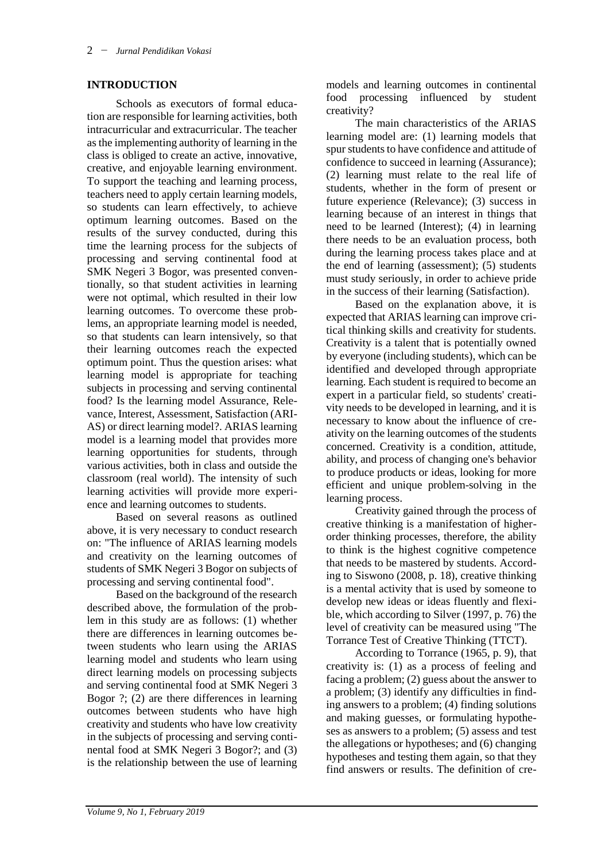### **INTRODUCTION**

Schools as executors of formal education are responsible for learning activities, both intracurricular and extracurricular. The teacher as the implementing authority of learning in the class is obliged to create an active, innovative, creative, and enjoyable learning environment. To support the teaching and learning process, teachers need to apply certain learning models, so students can learn effectively, to achieve optimum learning outcomes. Based on the results of the survey conducted, during this time the learning process for the subjects of processing and serving continental food at SMK Negeri 3 Bogor, was presented conventionally, so that student activities in learning were not optimal, which resulted in their low learning outcomes. To overcome these problems, an appropriate learning model is needed, so that students can learn intensively, so that their learning outcomes reach the expected optimum point. Thus the question arises: what learning model is appropriate for teaching subjects in processing and serving continental food? Is the learning model Assurance, Relevance, Interest, Assessment, Satisfaction (ARI-AS) or direct learning model?. ARIAS learning model is a learning model that provides more learning opportunities for students, through various activities, both in class and outside the classroom (real world). The intensity of such learning activities will provide more experience and learning outcomes to students.

Based on several reasons as outlined above, it is very necessary to conduct research on: "The influence of ARIAS learning models and creativity on the learning outcomes of students of SMK Negeri 3 Bogor on subjects of processing and serving continental food".

Based on the background of the research described above, the formulation of the problem in this study are as follows: (1) whether there are differences in learning outcomes between students who learn using the ARIAS learning model and students who learn using direct learning models on processing subjects and serving continental food at SMK Negeri 3 Bogor ?; (2) are there differences in learning outcomes between students who have high creativity and students who have low creativity in the subjects of processing and serving continental food at SMK Negeri 3 Bogor?; and (3) is the relationship between the use of learning

models and learning outcomes in continental food processing influenced by student creativity?

The main characteristics of the ARIAS learning model are: (1) learning models that spur students to have confidence and attitude of confidence to succeed in learning (Assurance); (2) learning must relate to the real life of students, whether in the form of present or future experience (Relevance); (3) success in learning because of an interest in things that need to be learned (Interest); (4) in learning there needs to be an evaluation process, both during the learning process takes place and at the end of learning (assessment); (5) students must study seriously, in order to achieve pride in the success of their learning (Satisfaction).

Based on the explanation above, it is expected that ARIAS learning can improve critical thinking skills and creativity for students. Creativity is a talent that is potentially owned by everyone (including students), which can be identified and developed through appropriate learning. Each student is required to become an expert in a particular field, so students' creativity needs to be developed in learning, and it is necessary to know about the influence of creativity on the learning outcomes of the students concerned. Creativity is a condition, attitude, ability, and process of changing one's behavior to produce products or ideas, looking for more efficient and unique problem-solving in the learning process.

Creativity gained through the process of creative thinking is a manifestation of higherorder thinking processes, therefore, the ability to think is the highest cognitive competence that needs to be mastered by students. According to Siswono (2008, p. 18), creative thinking is a mental activity that is used by someone to develop new ideas or ideas fluently and flexible, which according to Silver (1997, p. 76) the level of creativity can be measured using "The Torrance Test of Creative Thinking (TTCT).

According to Torrance (1965, p. 9), that creativity is: (1) as a process of feeling and facing a problem; (2) guess about the answer to a problem; (3) identify any difficulties in finding answers to a problem; (4) finding solutions and making guesses, or formulating hypotheses as answers to a problem; (5) assess and test the allegations or hypotheses; and (6) changing hypotheses and testing them again, so that they find answers or results. The definition of cre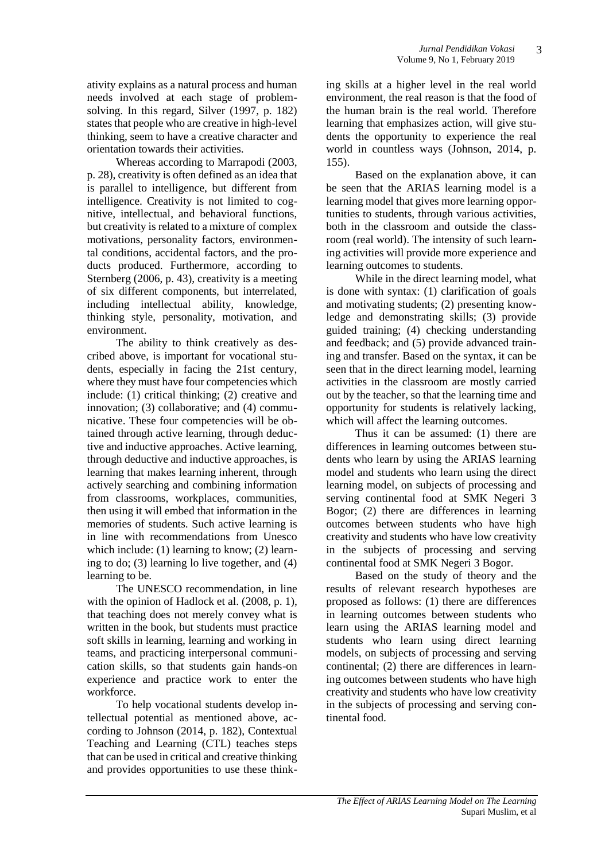ativity explains as a natural process and human needs involved at each stage of problemsolving. In this regard, Silver (1997, p. 182) states that people who are creative in high-level thinking, seem to have a creative character and orientation towards their activities.

Whereas according to Marrapodi (2003, p. 28), creativity is often defined as an idea that is parallel to intelligence, but different from intelligence. Creativity is not limited to cognitive, intellectual, and behavioral functions, but creativity is related to a mixture of complex motivations, personality factors, environmental conditions, accidental factors, and the products produced. Furthermore, according to Sternberg (2006, p. 43), creativity is a meeting of six different components, but interrelated, including intellectual ability, knowledge, thinking style, personality, motivation, and environment.

The ability to think creatively as described above, is important for vocational students, especially in facing the 21st century, where they must have four competencies which include: (1) critical thinking; (2) creative and innovation; (3) collaborative; and (4) communicative. These four competencies will be obtained through active learning, through deductive and inductive approaches. Active learning, through deductive and inductive approaches, is learning that makes learning inherent, through actively searching and combining information from classrooms, workplaces, communities, then using it will embed that information in the memories of students. Such active learning is in line with recommendations from Unesco which include: (1) learning to know; (2) learning to do; (3) learning lo live together, and (4) learning to be.

The UNESCO recommendation, in line with the opinion of Hadlock et al. (2008, p. 1). that teaching does not merely convey what is written in the book, but students must practice soft skills in learning, learning and working in teams, and practicing interpersonal communication skills, so that students gain hands-on experience and practice work to enter the workforce.

To help vocational students develop intellectual potential as mentioned above, according to Johnson (2014, p. 182), Contextual Teaching and Learning (CTL) teaches steps that can be used in critical and creative thinking and provides opportunities to use these thinking skills at a higher level in the real world environment, the real reason is that the food of the human brain is the real world. Therefore learning that emphasizes action, will give students the opportunity to experience the real world in countless ways (Johnson, 2014, p. 155).

Based on the explanation above, it can be seen that the ARIAS learning model is a learning model that gives more learning opportunities to students, through various activities, both in the classroom and outside the classroom (real world). The intensity of such learning activities will provide more experience and learning outcomes to students.

While in the direct learning model, what is done with syntax: (1) clarification of goals and motivating students; (2) presenting knowledge and demonstrating skills; (3) provide guided training; (4) checking understanding and feedback; and (5) provide advanced training and transfer. Based on the syntax, it can be seen that in the direct learning model, learning activities in the classroom are mostly carried out by the teacher, so that the learning time and opportunity for students is relatively lacking, which will affect the learning outcomes.

Thus it can be assumed: (1) there are differences in learning outcomes between students who learn by using the ARIAS learning model and students who learn using the direct learning model, on subjects of processing and serving continental food at SMK Negeri 3 Bogor; (2) there are differences in learning outcomes between students who have high creativity and students who have low creativity in the subjects of processing and serving continental food at SMK Negeri 3 Bogor.

Based on the study of theory and the results of relevant research hypotheses are proposed as follows: (1) there are differences in learning outcomes between students who learn using the ARIAS learning model and students who learn using direct learning models, on subjects of processing and serving continental; (2) there are differences in learning outcomes between students who have high creativity and students who have low creativity in the subjects of processing and serving continental food.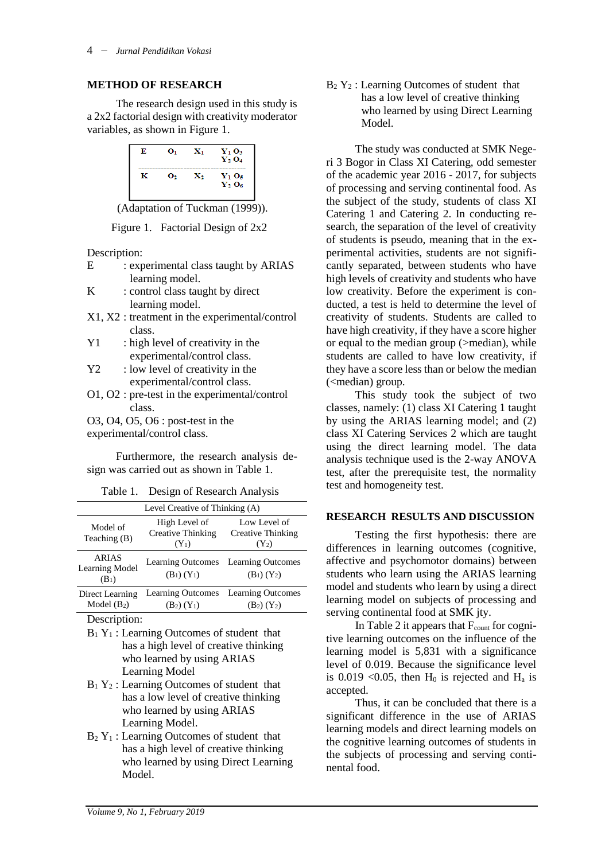#### **METHOD OF RESEARCH**

The research design used in this study is a 2x2 factorial design with creativity moderator variables, as shown in Figure 1.



(Adaptation of Tuckman (1999)).

Figure 1. Factorial Design of 2x2

Description:

| E | : experimental class taught by ARIAS |
|---|--------------------------------------|
|   | learning model.                      |

- $K$  : control class taught by direct learning model.
- X1, X2 : treatment in the experimental/control class.
- Y1 : high level of creativity in the experimental/control class.
- Y2 : low level of creativity in the experimental/control class.
- O1, O2 : pre-test in the experimental/control class.
- O3, O4, O5, O6 : post-test in the

experimental/control class.

Furthermore, the research analysis design was carried out as shown in Table 1.

|  | Table 1. |  | Design of Research Analysis |  |
|--|----------|--|-----------------------------|--|
|--|----------|--|-----------------------------|--|

| Level Creative of Thinking (A)            |                                                      |                                                      |  |  |  |
|-------------------------------------------|------------------------------------------------------|------------------------------------------------------|--|--|--|
| Model of<br>Teaching (B)                  | High Level of<br><b>Creative Thinking</b><br>$(Y_1)$ | Low Level of<br><b>Creative Thinking</b><br>$(Y_2)$  |  |  |  |
| <b>ARIAS</b><br>Learning Model<br>$(B_1)$ | $(B_1) (Y_1)$                                        | Learning Outcomes Learning Outcomes<br>$(B_1) (Y_2)$ |  |  |  |
| Direct Learning<br>Model $(B_2)$          | $(B_2) (Y_1)$                                        | Learning Outcomes Learning Outcomes<br>$(B_2) (Y_2)$ |  |  |  |

Description:

- $B_1 Y_1$ : Learning Outcomes of student that has a high level of creative thinking who learned by using ARIAS Learning Model
- $B_1 Y_2$ : Learning Outcomes of student that has a low level of creative thinking who learned by using ARIAS Learning Model.
- $B_2$  Y<sub>1</sub> : Learning Outcomes of student that has a high level of creative thinking who learned by using Direct Learning Model.

 $B_2$  Y<sub>2</sub> : Learning Outcomes of student that has a low level of creative thinking who learned by using Direct Learning Model.

The study was conducted at SMK Negeri 3 Bogor in Class XI Catering, odd semester of the academic year 2016 - 2017, for subjects of processing and serving continental food. As the subject of the study, students of class XI Catering 1 and Catering 2. In conducting research, the separation of the level of creativity of students is pseudo, meaning that in the experimental activities, students are not significantly separated, between students who have high levels of creativity and students who have low creativity. Before the experiment is conducted, a test is held to determine the level of creativity of students. Students are called to have high creativity, if they have a score higher or equal to the median group (>median), while students are called to have low creativity, if they have a score less than or below the median (<median) group.

This study took the subject of two classes, namely: (1) class XI Catering 1 taught by using the ARIAS learning model; and (2) class XI Catering Services 2 which are taught using the direct learning model. The data analysis technique used is the 2-way ANOVA test, after the prerequisite test, the normality test and homogeneity test.

#### **RESEARCH RESULTS AND DISCUSSION**

Testing the first hypothesis: there are differences in learning outcomes (cognitive, affective and psychomotor domains) between students who learn using the ARIAS learning model and students who learn by using a direct learning model on subjects of processing and serving continental food at SMK jty.

In Table 2 it appears that  $F_{\text{count}}$  for cognitive learning outcomes on the influence of the learning model is 5,831 with a significance level of 0.019. Because the significance level is 0.019 < 0.05, then  $H_0$  is rejected and  $H_a$  is accepted.

Thus, it can be concluded that there is a significant difference in the use of ARIAS learning models and direct learning models on the cognitive learning outcomes of students in the subjects of processing and serving continental food.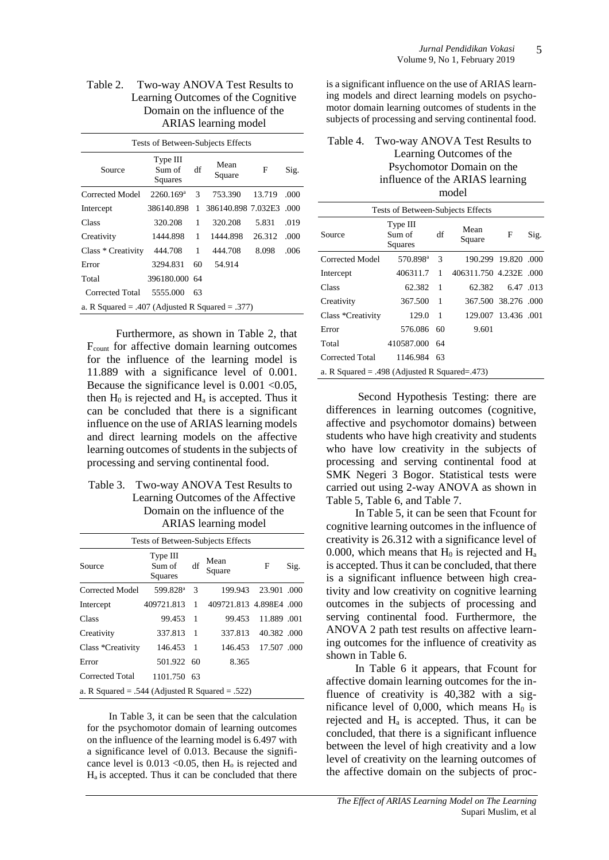#### Table 2. Two-way ANOVA Test Results to Learning Outcomes of the Cognitive Domain on the influence of the ARIAS learning model

Tests of Between-Subjects Effects

| Source                                          | Type III<br>Sum of<br>Squares | df | Mean<br>Square     | F      | Sig. |
|-------------------------------------------------|-------------------------------|----|--------------------|--------|------|
| Corrected Model                                 | 2260.169 <sup>a</sup>         | 3  | 753.390            | 13.719 | .000 |
| Intercept                                       | 386140.898                    | 1  | 386140.898 7.032E3 |        | .000 |
| Class                                           | 320.208                       | 1  | 320.208            | 5.831  | .019 |
| Creativity                                      | 1444.898                      | 1  | 1444.898           | 26.312 | .000 |
| Class * Creativity                              | 444.708                       | 1  | 444.708            | 8.098  | .006 |
| Error                                           | 3294.831                      | 60 | 54.914             |        |      |
| Total                                           | 396180,000 64                 |    |                    |        |      |
| Corrected Total                                 | 5555.000                      | 63 |                    |        |      |
| a. R Squared = .407 (Adjusted R Squared = .377) |                               |    |                    |        |      |

Furthermore, as shown in Table 2, that Fcount for affective domain learning outcomes for the influence of the learning model is 11.889 with a significance level of 0.001. Because the significance level is  $0.001 < 0.05$ , then  $H_0$  is rejected and  $H_a$  is accepted. Thus it can be concluded that there is a significant influence on the use of ARIAS learning models and direct learning models on the affective learning outcomes of students in the subjects of processing and serving continental food.

### Table 3. Two-way ANOVA Test Results to Learning Outcomes of the Affective Domain on the influence of the ARIAS learning model

| Tests of Between-Subjects Effects               |                               |     |                         |                    |      |  |  |
|-------------------------------------------------|-------------------------------|-----|-------------------------|--------------------|------|--|--|
| Source                                          | Type III<br>Sum of<br>Squares | df  | Mean<br>Square          | F                  | Sig. |  |  |
| Corrected Model                                 | 599.828 <sup>a</sup>          | 3   | 199.943                 | 23.901 .000        |      |  |  |
| Intercept                                       | 409721.813                    | 1   | 409721.813 4.898E4 .000 |                    |      |  |  |
| Class                                           | 99.453                        | -1  | 99.453                  | 11.889 .001        |      |  |  |
| Creativity                                      | 337.813                       | - 1 | 337.813                 | 40.382 .000        |      |  |  |
| Class *Creativity                               | 146.453 1                     |     |                         | 146.453 17.507 000 |      |  |  |
| Error                                           | 501.922 60                    |     | 8.365                   |                    |      |  |  |
| Corrected Total                                 | 1101.750 63                   |     |                         |                    |      |  |  |
| a. R Squared = .544 (Adjusted R Squared = .522) |                               |     |                         |                    |      |  |  |

In Table 3, it can be seen that the calculation for the psychomotor domain of learning outcomes on the influence of the learning model is 6.497 with a significance level of 0.013. Because the significance level is  $0.013 \le 0.05$ , then  $H_0$  is rejected and Ha is accepted. Thus it can be concluded that there is a significant influence on the use of ARIAS learning models and direct learning models on psychomotor domain learning outcomes of students in the subjects of processing and serving continental food.

### Table 4. Two-way ANOVA Test Results to Learning Outcomes of the Psychomotor Domain on the influence of the ARIAS learning model

Tests of Between-Subjects Effects

| Source                                        | Type III<br>Sum of<br>Squares | df             | Mean<br>Square         | F         | Sig. |  |  |
|-----------------------------------------------|-------------------------------|----------------|------------------------|-----------|------|--|--|
| Corrected Model                               | 570.898 <sup>a</sup>          | 3              | 190.299 19.820 .000    |           |      |  |  |
| Intercept                                     | 406311.7                      | 1              | 406311.750 4.232E .000 |           |      |  |  |
| Class                                         | 62.382                        | 1              | 62.382                 | 6.47 .013 |      |  |  |
| Creativity                                    | 367.500                       | $\overline{1}$ | 367.500 38.276 .000    |           |      |  |  |
| Class *Creativity                             | 129.0                         | 1              | 129.007 13.436 .001    |           |      |  |  |
| Error                                         | 576.086                       | 60             | 9.601                  |           |      |  |  |
| Total                                         | 410587.000 64                 |                |                        |           |      |  |  |
| Corrected Total                               | 1146.984                      | 63             |                        |           |      |  |  |
| a. R Squared = .498 (Adjusted R Squared=.473) |                               |                |                        |           |      |  |  |

Second Hypothesis Testing: there are differences in learning outcomes (cognitive, affective and psychomotor domains) between students who have high creativity and students who have low creativity in the subjects of processing and serving continental food at SMK Negeri 3 Bogor. Statistical tests were carried out using 2-way ANOVA as shown in Table 5, Table 6, and Table 7.

In Table 5, it can be seen that Fcount for cognitive learning outcomes in the influence of creativity is 26.312 with a significance level of 0.000, which means that  $H_0$  is rejected and  $H_a$ is accepted. Thus it can be concluded, that there is a significant influence between high creativity and low creativity on cognitive learning outcomes in the subjects of processing and serving continental food. Furthermore, the ANOVA 2 path test results on affective learning outcomes for the influence of creativity as shown in Table 6.

In Table 6 it appears, that Fcount for affective domain learning outcomes for the influence of creativity is 40,382 with a significance level of  $0,000$ , which means  $H_0$  is rejected and H<sup>a</sup> is accepted. Thus, it can be concluded, that there is a significant influence between the level of high creativity and a low level of creativity on the learning outcomes of the affective domain on the subjects of proc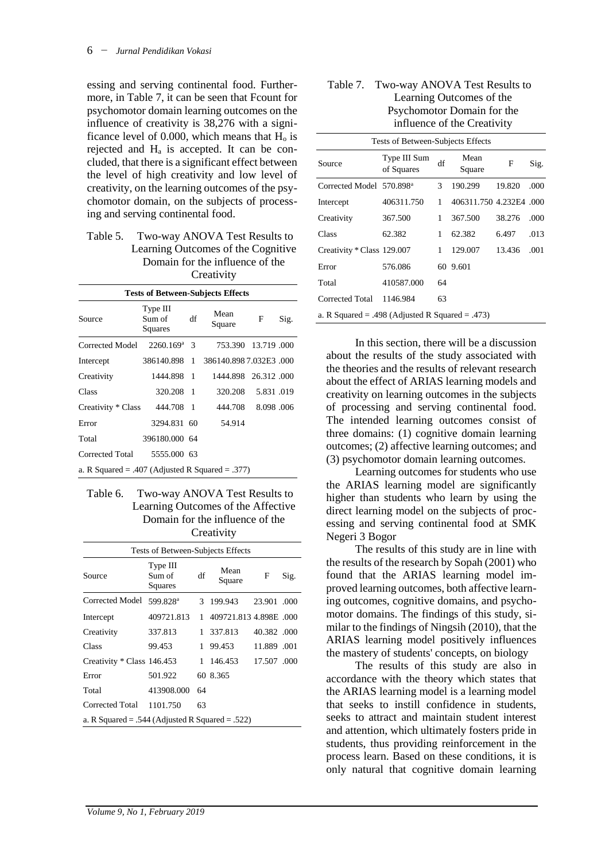essing and serving continental food. Furthermore, in Table 7, it can be seen that Fcount for psychomotor domain learning outcomes on the influence of creativity is 38,276 with a significance level of 0.000, which means that  $H<sub>o</sub>$  is rejected and H<sup>a</sup> is accepted. It can be concluded, that there is a significant effect between the level of high creativity and low level of creativity, on the learning outcomes of the psychomotor domain, on the subjects of processing and serving continental food.

### Table 5. Two-way ANOVA Test Results to Learning Outcomes of the Cognitive Domain for the influence of the **Creativity**

#### **Tests of Between-Subjects Effects**

| Source                                          | Type III<br>Sum of<br>Squares | df | Mean<br>Square        | F         | Sig. |
|-------------------------------------------------|-------------------------------|----|-----------------------|-----------|------|
| Corrected Model                                 | 2260.169 <sup>a</sup>         | -3 | 753.390 13.719 000    |           |      |
| Intercept                                       | 386140.898 1                  |    | 386140.8987.032E3.000 |           |      |
| Creativity                                      | 1444.898 1                    |    | 1444.898 26.312.000   |           |      |
| Class                                           | 320.208 1                     |    | 320.208               | 5.831.019 |      |
| Creativity * Class                              | 444.708 1                     |    | 444.708               | 8.098.006 |      |
| Error                                           | 3294.831 60                   |    | 54.914                |           |      |
| Total                                           | 396180.000 64                 |    |                       |           |      |
| Corrected Total                                 | 5555,000 63                   |    |                       |           |      |
| a. R Squared = .407 (Adjusted R Squared = .377) |                               |    |                       |           |      |

### Table 6. Two-way ANOVA Test Results to Learning Outcomes of the Affective Domain for the influence of the **Creativity**

| Tests of Between-Subjects Effects               |                               |    |                        |             |      |  |  |
|-------------------------------------------------|-------------------------------|----|------------------------|-------------|------|--|--|
| Source                                          | Type III<br>Sum of<br>Squares | df | Mean<br>Square         | F           | Sig. |  |  |
| Corrected Model                                 | 599.828 <sup>a</sup>          | 3  | 199.943                | 23.901 .000 |      |  |  |
| Intercept                                       | 409721.813                    | 1  | 409721.813 4.898E .000 |             |      |  |  |
| Creativity                                      | 337.813                       | 1  | 337.813                | 40.382 .000 |      |  |  |
| Class                                           | 99.453                        | 1  | 99.453                 | 11.889.001  |      |  |  |
| Creativity * Class 146.453                      |                               | 1  | 146.453                | 17.507.000  |      |  |  |
| Error                                           | 501.922                       |    | 60 8.365               |             |      |  |  |
| Total                                           | 413908.000                    | 64 |                        |             |      |  |  |
| Corrected Total                                 | 1101.750                      | 63 |                        |             |      |  |  |
| a. R Squared = .544 (Adjusted R Squared = .522) |                               |    |                        |             |      |  |  |

#### Table 7. Two-way ANOVA Test Results to Learning Outcomes of the Psychomotor Domain for the influence of the Creativity

Tests of Between-Subjects Effects

| Source                                          | Type III Sum<br>of Squares | df | Mean<br>Square          | F      | Sig. |
|-------------------------------------------------|----------------------------|----|-------------------------|--------|------|
| Corrected Model 570.898 <sup>a</sup>            |                            | 3  | 190.299                 | 19.820 | .000 |
| Intercept                                       | 406311.750                 | 1  | 406311.750 4.232E4 .000 |        |      |
| Creativity                                      | 367.500                    | 1  | 367.500                 | 38.276 | .000 |
| Class                                           | 62.382                     | 1  | 62.382                  | 6.497  | .013 |
| Creativity * Class 129.007                      |                            | 1  | 129.007                 | 13.436 | .001 |
| Error                                           | 576.086                    |    | 60 9.601                |        |      |
| Total                                           | 410587.000                 | 64 |                         |        |      |
| Corrected Total                                 | 1146.984                   | 63 |                         |        |      |
| a. R Squared = .498 (Adjusted R Squared = .473) |                            |    |                         |        |      |

In this section, there will be a discussion about the results of the study associated with the theories and the results of relevant research about the effect of ARIAS learning models and creativity on learning outcomes in the subjects of processing and serving continental food. The intended learning outcomes consist of three domains: (1) cognitive domain learning outcomes; (2) affective learning outcomes; and (3) psychomotor domain learning outcomes.

Learning outcomes for students who use the ARIAS learning model are significantly higher than students who learn by using the direct learning model on the subjects of processing and serving continental food at SMK Negeri 3 Bogor

The results of this study are in line with the results of the research by Sopah (2001) who found that the ARIAS learning model improved learning outcomes, both affective learning outcomes, cognitive domains, and psychomotor domains. The findings of this study, similar to the findings of Ningsih (2010), that the ARIAS learning model positively influences the mastery of students' concepts, on biology

The results of this study are also in accordance with the theory which states that the ARIAS learning model is a learning model that seeks to instill confidence in students, seeks to attract and maintain student interest and attention, which ultimately fosters pride in students, thus providing reinforcement in the process learn. Based on these conditions, it is only natural that cognitive domain learning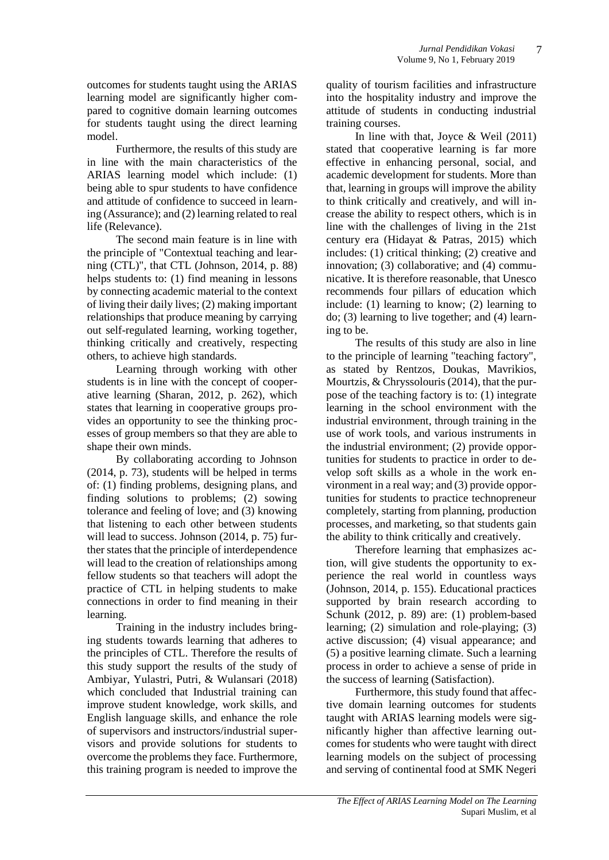outcomes for students taught using the ARIAS learning model are significantly higher compared to cognitive domain learning outcomes for students taught using the direct learning model.

Furthermore, the results of this study are in line with the main characteristics of the ARIAS learning model which include: (1) being able to spur students to have confidence and attitude of confidence to succeed in learning (Assurance); and (2) learning related to real life (Relevance).

The second main feature is in line with the principle of "Contextual teaching and learning (CTL)", that CTL (Johnson, 2014, p. 88) helps students to: (1) find meaning in lessons by connecting academic material to the context of living their daily lives; (2) making important relationships that produce meaning by carrying out self-regulated learning, working together, thinking critically and creatively, respecting others, to achieve high standards.

Learning through working with other students is in line with the concept of cooperative learning (Sharan, 2012, p. 262), which states that learning in cooperative groups provides an opportunity to see the thinking processes of group members so that they are able to shape their own minds.

By collaborating according to Johnson (2014, p. 73), students will be helped in terms of: (1) finding problems, designing plans, and finding solutions to problems; (2) sowing tolerance and feeling of love; and (3) knowing that listening to each other between students will lead to success. Johnson (2014, p. 75) further states that the principle of interdependence will lead to the creation of relationships among fellow students so that teachers will adopt the practice of CTL in helping students to make connections in order to find meaning in their learning.

Training in the industry includes bringing students towards learning that adheres to the principles of CTL. Therefore the results of this study support the results of the study of Ambiyar, Yulastri, Putri, & Wulansari (2018) which concluded that Industrial training can improve student knowledge, work skills, and English language skills, and enhance the role of supervisors and instructors/industrial supervisors and provide solutions for students to overcome the problems they face. Furthermore, this training program is needed to improve the

quality of tourism facilities and infrastructure into the hospitality industry and improve the attitude of students in conducting industrial training courses.

In line with that, Joyce & Weil (2011) stated that cooperative learning is far more effective in enhancing personal, social, and academic development for students. More than that, learning in groups will improve the ability to think critically and creatively, and will increase the ability to respect others, which is in line with the challenges of living in the 21st century era (Hidayat & Patras, 2015) which includes: (1) critical thinking; (2) creative and innovation; (3) collaborative; and (4) communicative. It is therefore reasonable, that Unesco recommends four pillars of education which include: (1) learning to know; (2) learning to do; (3) learning to live together; and (4) learning to be.

The results of this study are also in line to the principle of learning "teaching factory", as stated by Rentzos, Doukas, Mavrikios, Mourtzis, & Chryssolouris (2014), that the purpose of the teaching factory is to: (1) integrate learning in the school environment with the industrial environment, through training in the use of work tools, and various instruments in the industrial environment; (2) provide opportunities for students to practice in order to develop soft skills as a whole in the work environment in a real way; and (3) provide opportunities for students to practice technopreneur completely, starting from planning, production processes, and marketing, so that students gain the ability to think critically and creatively.

Therefore learning that emphasizes action, will give students the opportunity to experience the real world in countless ways (Johnson, 2014, p. 155). Educational practices supported by brain research according to Schunk (2012, p. 89) are: (1) problem-based learning; (2) simulation and role-playing; (3) active discussion; (4) visual appearance; and (5) a positive learning climate. Such a learning process in order to achieve a sense of pride in the success of learning (Satisfaction).

Furthermore, this study found that affective domain learning outcomes for students taught with ARIAS learning models were significantly higher than affective learning outcomes for students who were taught with direct learning models on the subject of processing and serving of continental food at SMK Negeri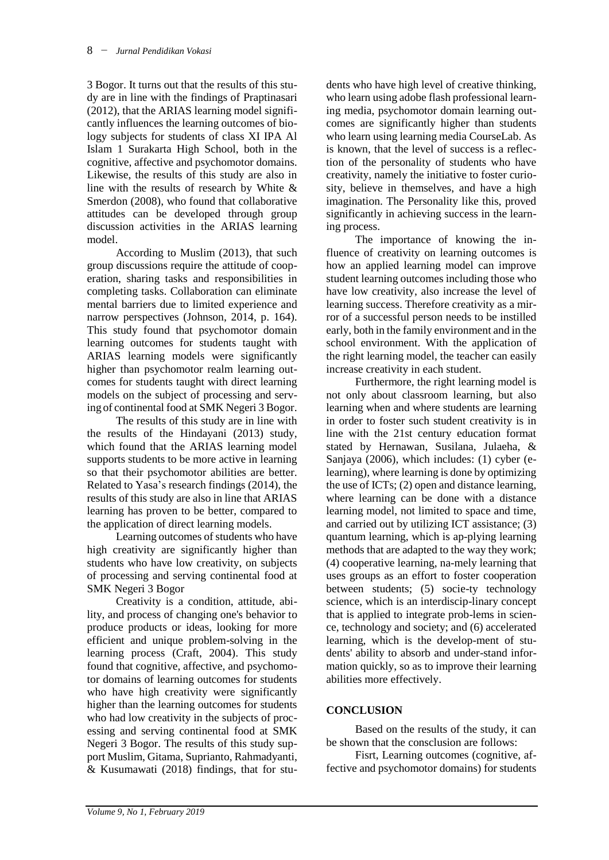3 Bogor. It turns out that the results of this study are in line with the findings of Praptinasari (2012), that the ARIAS learning model significantly influences the learning outcomes of biology subjects for students of class XI IPA Al Islam 1 Surakarta High School, both in the cognitive, affective and psychomotor domains. Likewise, the results of this study are also in line with the results of research by White & Smerdon (2008), who found that collaborative attitudes can be developed through group discussion activities in the ARIAS learning model.

According to Muslim (2013), that such group discussions require the attitude of cooperation, sharing tasks and responsibilities in completing tasks. Collaboration can eliminate mental barriers due to limited experience and narrow perspectives (Johnson, 2014, p. 164). This study found that psychomotor domain learning outcomes for students taught with ARIAS learning models were significantly higher than psychomotor realm learning outcomes for students taught with direct learning models on the subject of processing and serving of continental food at SMK Negeri 3 Bogor.

The results of this study are in line with the results of the Hindayani (2013) study, which found that the ARIAS learning model supports students to be more active in learning so that their psychomotor abilities are better. Related to Yasa's research findings (2014), the results of this study are also in line that ARIAS learning has proven to be better, compared to the application of direct learning models.

Learning outcomes of students who have high creativity are significantly higher than students who have low creativity, on subjects of processing and serving continental food at SMK Negeri 3 Bogor

Creativity is a condition, attitude, ability, and process of changing one's behavior to produce products or ideas, looking for more efficient and unique problem-solving in the learning process (Craft, 2004). This study found that cognitive, affective, and psychomotor domains of learning outcomes for students who have high creativity were significantly higher than the learning outcomes for students who had low creativity in the subjects of processing and serving continental food at SMK Negeri 3 Bogor. The results of this study support Muslim, Gitama, Suprianto, Rahmadyanti, & Kusumawati (2018) findings, that for stu-

dents who have high level of creative thinking, who learn using adobe flash professional learning media, psychomotor domain learning outcomes are significantly higher than students who learn using learning media CourseLab. As is known, that the level of success is a reflection of the personality of students who have creativity, namely the initiative to foster curiosity, believe in themselves, and have a high imagination. The Personality like this, proved significantly in achieving success in the learning process.

The importance of knowing the influence of creativity on learning outcomes is how an applied learning model can improve student learning outcomes including those who have low creativity, also increase the level of learning success. Therefore creativity as a mirror of a successful person needs to be instilled early, both in the family environment and in the school environment. With the application of the right learning model, the teacher can easily increase creativity in each student.

Furthermore, the right learning model is not only about classroom learning, but also learning when and where students are learning in order to foster such student creativity is in line with the 21st century education format stated by Hernawan, Susilana, Julaeha, & Sanjaya (2006), which includes: (1) cyber (elearning), where learning is done by optimizing the use of ICTs; (2) open and distance learning, where learning can be done with a distance learning model, not limited to space and time, and carried out by utilizing ICT assistance; (3) quantum learning, which is ap-plying learning methods that are adapted to the way they work; (4) cooperative learning, na-mely learning that uses groups as an effort to foster cooperation between students; (5) socie-ty technology science, which is an interdiscip-linary concept that is applied to integrate prob-lems in science, technology and society; and (6) accelerated learning, which is the develop-ment of students' ability to absorb and under-stand information quickly, so as to improve their learning abilities more effectively.

# **CONCLUSION**

Based on the results of the study, it can be shown that the consclusion are follows:

Fisrt, Learning outcomes (cognitive, affective and psychomotor domains) for students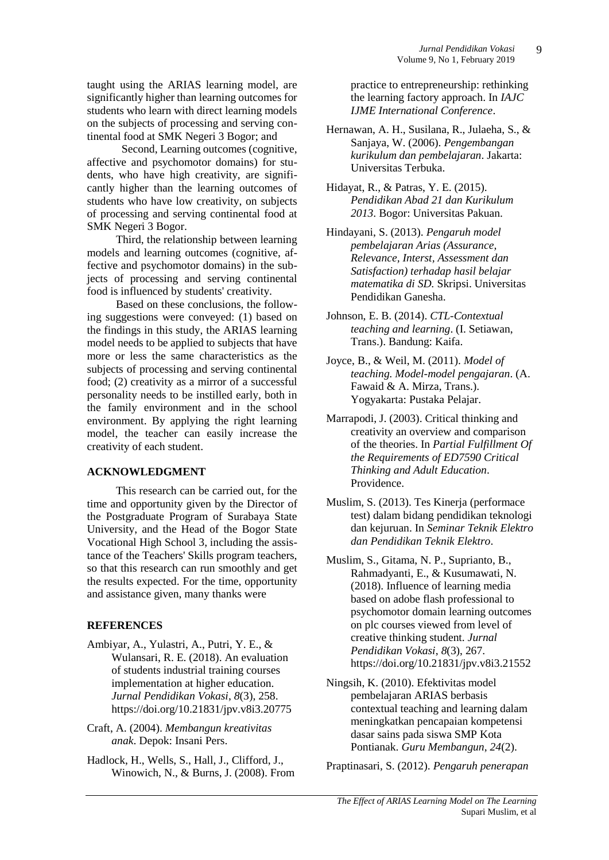taught using the ARIAS learning model, are significantly higher than learning outcomes for students who learn with direct learning models on the subjects of processing and serving continental food at SMK Negeri 3 Bogor; and

 Second, Learning outcomes (cognitive, affective and psychomotor domains) for students, who have high creativity, are significantly higher than the learning outcomes of students who have low creativity, on subjects of processing and serving continental food at SMK Negeri 3 Bogor.

Third, the relationship between learning models and learning outcomes (cognitive, affective and psychomotor domains) in the subjects of processing and serving continental food is influenced by students' creativity.

Based on these conclusions, the following suggestions were conveyed: (1) based on the findings in this study, the ARIAS learning model needs to be applied to subjects that have more or less the same characteristics as the subjects of processing and serving continental food; (2) creativity as a mirror of a successful personality needs to be instilled early, both in the family environment and in the school environment. By applying the right learning model, the teacher can easily increase the creativity of each student.

## **ACKNOWLEDGMENT**

This research can be carried out, for the time and opportunity given by the Director of the Postgraduate Program of Surabaya State University, and the Head of the Bogor State Vocational High School 3, including the assistance of the Teachers' Skills program teachers, so that this research can run smoothly and get the results expected. For the time, opportunity and assistance given, many thanks were

## **REFERENCES**

- Ambiyar, A., Yulastri, A., Putri, Y. E., & Wulansari, R. E. (2018). An evaluation of students industrial training courses implementation at higher education. *Jurnal Pendidikan Vokasi*, *8*(3), 258. https://doi.org/10.21831/jpv.v8i3.20775
- Craft, A. (2004). *Membangun kreativitas anak*. Depok: Insani Pers.
- Hadlock, H., Wells, S., Hall, J., Clifford, J., Winowich, N., & Burns, J. (2008). From

practice to entrepreneurship: rethinking the learning factory approach. In *IAJC IJME International Conference*.

- Hernawan, A. H., Susilana, R., Julaeha, S., & Sanjaya, W. (2006). *Pengembangan kurikulum dan pembelajaran*. Jakarta: Universitas Terbuka.
- Hidayat, R., & Patras, Y. E. (2015). *Pendidikan Abad 21 dan Kurikulum 2013*. Bogor: Universitas Pakuan.
- Hindayani, S. (2013). *Pengaruh model pembelajaran Arias (Assurance, Relevance, Interst, Assessment dan Satisfaction) terhadap hasil belajar matematika di SD.* Skripsi. Universitas Pendidikan Ganesha.
- Johnson, E. B. (2014). *CTL-Contextual teaching and learning*. (I. Setiawan, Trans.). Bandung: Kaifa.
- Joyce, B., & Weil, M. (2011). *Model of teaching. Model-model pengajaran*. (A. Fawaid & A. Mirza, Trans.). Yogyakarta: Pustaka Pelajar.
- Marrapodi, J. (2003). Critical thinking and creativity an overview and comparison of the theories. In *Partial Fulfillment Of the Requirements of ED7590 Critical Thinking and Adult Education*. Providence.
- Muslim, S. (2013). Tes Kinerja (performace test) dalam bidang pendidikan teknologi dan kejuruan. In *Seminar Teknik Elektro dan Pendidikan Teknik Elektro*.
- Muslim, S., Gitama, N. P., Suprianto, B., Rahmadyanti, E., & Kusumawati, N. (2018). Influence of learning media based on adobe flash professional to psychomotor domain learning outcomes on plc courses viewed from level of creative thinking student. *Jurnal Pendidikan Vokasi*, *8*(3), 267. https://doi.org/10.21831/jpv.v8i3.21552
- Ningsih, K. (2010). Efektivitas model pembelajaran ARIAS berbasis contextual teaching and learning dalam meningkatkan pencapaian kompetensi dasar sains pada siswa SMP Kota Pontianak. *Guru Membangun*, *24*(2).

Praptinasari, S. (2012). *Pengaruh penerapan*